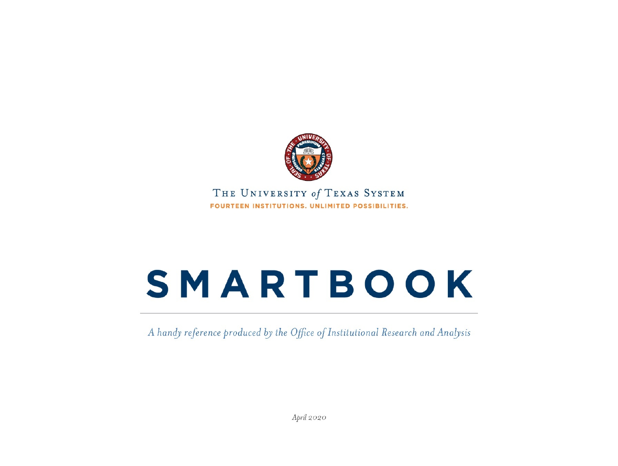

THE UNIVERSITY of TEXAS SYSTEM FOURTEEN INSTITUTIONS, UNLIMITED POSSIBILITIES.

# **SMARTBOOK**

A handy reference produced by the Office of Institutional Research and Analysis

April 2020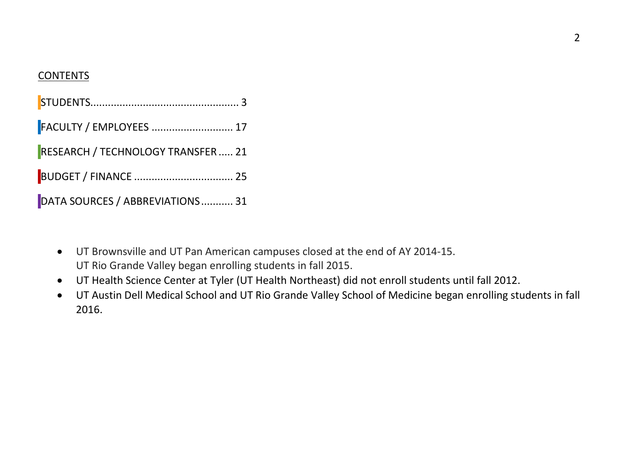#### CONTENTS

| FACULTY / EMPLOYEES  17            |  |
|------------------------------------|--|
| RESEARCH / TECHNOLOGY TRANSFER  21 |  |
|                                    |  |
| DATA SOURCES / ABBREVIATIONS 31    |  |

- UT Brownsville and UT Pan American campuses closed at the end of AY 2014-15. UT Rio Grande Valley began enrolling students in fall 2015.
- UT Health Science Center at Tyler (UT Health Northeast) did not enroll students until fall 2012.
- UT Austin Dell Medical School and UT Rio Grande Valley School of Medicine began enrolling students in fall 2016.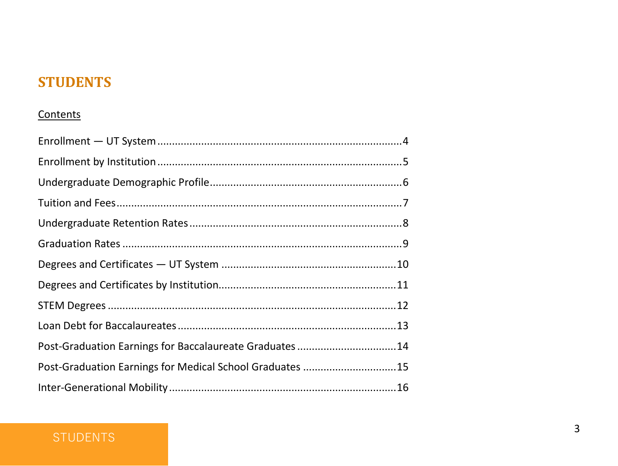#### <span id="page-2-0"></span>**STUDENTS**

#### Contents

| Post-Graduation Earnings for Baccalaureate Graduates 14  |  |
|----------------------------------------------------------|--|
| Post-Graduation Earnings for Medical School Graduates 15 |  |
|                                                          |  |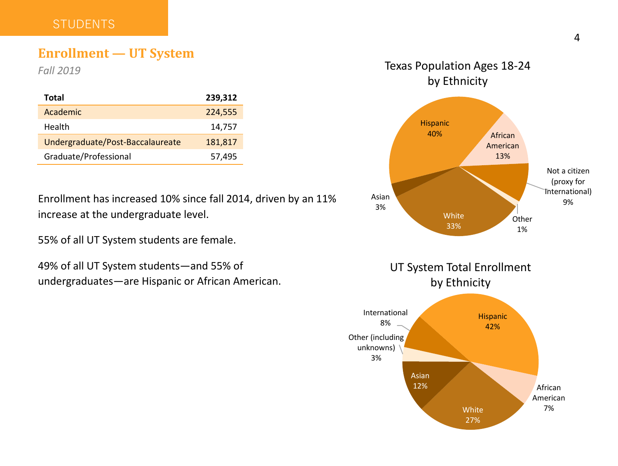#### <span id="page-3-0"></span>**STUDENTS**

#### **Enrollment — UT System**

*Fall 2019* 

| Total                            | 239,312 |
|----------------------------------|---------|
| Academic                         | 224,555 |
| Health                           | 14,757  |
| Undergraduate/Post-Baccalaureate | 181,817 |
| Graduate/Professional            | 57,495  |

Enrollment has increased 10% since fall 2014, driven by an 11% increase at the undergraduate level.

55% of all UT System students are female.

49% of all UT System students—and 55% of undergraduates—are Hispanic or African American.

#### **White** 33% Asian 3% Hispanic<br>40% African American 13% Not a citizen (proxy for International) 9% **Other** 1% Texas Population Ages 18-24 by Ethnicity

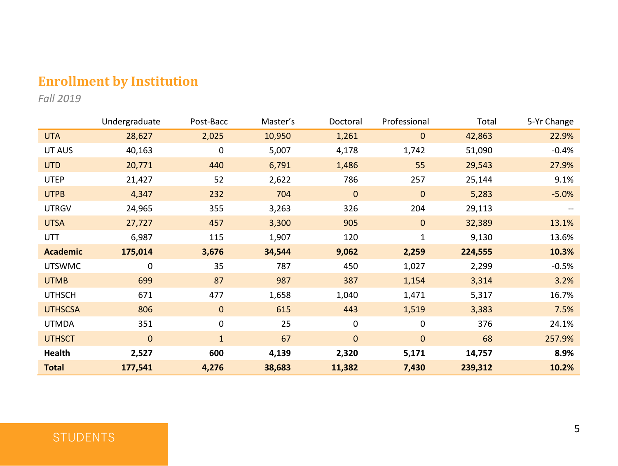### <span id="page-4-0"></span>**Enrollment by Institution**

*Fall 2019* 

|                 | Undergraduate | Post-Bacc    | Master's | Doctoral    | Professional | Total   | 5-Yr Change |
|-----------------|---------------|--------------|----------|-------------|--------------|---------|-------------|
| <b>UTA</b>      | 28,627        | 2,025        | 10,950   | 1,261       | $\mathbf{0}$ | 42,863  | 22.9%       |
| UT AUS          | 40,163        | 0            | 5,007    | 4,178       | 1,742        | 51,090  | $-0.4%$     |
| <b>UTD</b>      | 20,771        | 440          | 6,791    | 1,486       | 55           | 29,543  | 27.9%       |
| <b>UTEP</b>     | 21,427        | 52           | 2,622    | 786         | 257          | 25,144  | 9.1%        |
| <b>UTPB</b>     | 4,347         | 232          | 704      | $\mathbf 0$ | 0            | 5,283   | $-5.0%$     |
| <b>UTRGV</b>    | 24,965        | 355          | 3,263    | 326         | 204          | 29,113  |             |
| <b>UTSA</b>     | 27,727        | 457          | 3,300    | 905         | $\mathbf{0}$ | 32,389  | 13.1%       |
| UTT             | 6,987         | 115          | 1,907    | 120         | $\mathbf{1}$ | 9,130   | 13.6%       |
| <b>Academic</b> | 175,014       | 3,676        | 34,544   | 9,062       | 2,259        | 224,555 | 10.3%       |
| <b>UTSWMC</b>   | 0             | 35           | 787      | 450         | 1,027        | 2,299   | $-0.5%$     |
| <b>UTMB</b>     | 699           | 87           | 987      | 387         | 1,154        | 3,314   | 3.2%        |
| <b>UTHSCH</b>   | 671           | 477          | 1,658    | 1,040       | 1,471        | 5,317   | 16.7%       |
| <b>UTHSCSA</b>  | 806           | $\mathbf{0}$ | 615      | 443         | 1,519        | 3,383   | 7.5%        |
| <b>UTMDA</b>    | 351           | 0            | 25       | $\mathbf 0$ | 0            | 376     | 24.1%       |
| <b>UTHSCT</b>   | $\mathbf 0$   | $\mathbf{1}$ | 67       | $\mathbf 0$ | $\mathbf{0}$ | 68      | 257.9%      |
| Health          | 2,527         | 600          | 4,139    | 2,320       | 5,171        | 14,757  | 8.9%        |
| <b>Total</b>    | 177,541       | 4,276        | 38,683   | 11,382      | 7,430        | 239,312 | 10.2%       |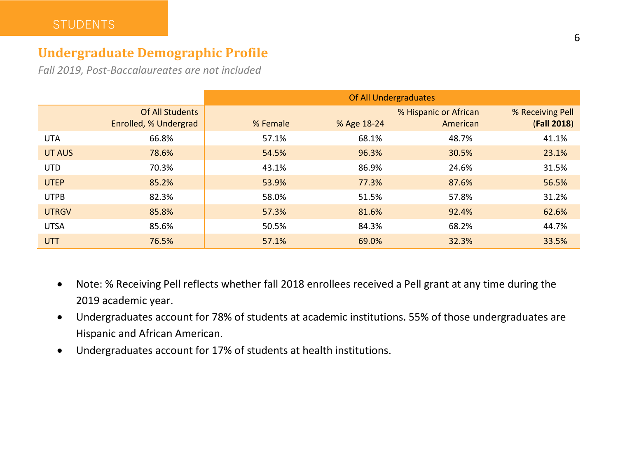#### <span id="page-5-0"></span>**Undergraduate Demographic Profile**

*Fall 2019, Post-Baccalaureates are not included*

|              |                                          | Of All Undergraduates |             |                                   |                                 |  |  |  |
|--------------|------------------------------------------|-----------------------|-------------|-----------------------------------|---------------------------------|--|--|--|
|              | Of All Students<br>Enrolled, % Undergrad | % Female              | % Age 18-24 | % Hispanic or African<br>American | % Receiving Pell<br>(Fall 2018) |  |  |  |
| <b>UTA</b>   | 66.8%                                    | 57.1%                 | 68.1%       | 48.7%                             | 41.1%                           |  |  |  |
| UT AUS       | 78.6%                                    | 54.5%                 | 96.3%       | 30.5%                             | 23.1%                           |  |  |  |
| <b>UTD</b>   | 70.3%                                    | 43.1%                 | 86.9%       | 24.6%                             | 31.5%                           |  |  |  |
| <b>UTEP</b>  | 85.2%                                    | 53.9%                 | 77.3%       | 87.6%                             | 56.5%                           |  |  |  |
| <b>UTPB</b>  | 82.3%                                    | 58.0%                 | 51.5%       | 57.8%                             | 31.2%                           |  |  |  |
| <b>UTRGV</b> | 85.8%                                    | 57.3%                 | 81.6%       | 92.4%                             | 62.6%                           |  |  |  |
| <b>UTSA</b>  | 85.6%                                    | 50.5%                 | 84.3%       | 68.2%                             | 44.7%                           |  |  |  |
| <b>UTT</b>   | 76.5%                                    | 57.1%                 | 69.0%       | 32.3%                             | 33.5%                           |  |  |  |

- Note: % Receiving Pell reflects whether fall 2018 enrollees received a Pell grant at any time during the 2019 academic year.
- Undergraduates account for 78% of students at academic institutions. 55% of those undergraduates are Hispanic and African American.
- Undergraduates account for 17% of students at health institutions.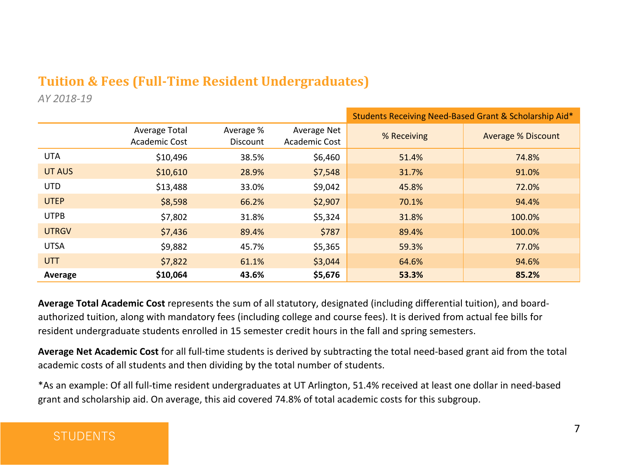#### <span id="page-6-0"></span>**Tuition & Fees (Full-Time Resident Undergraduates)**

*AY 2018-19* 

|              |                                |                              |                              | Students Receiving Need-Based Grant & Scholarship Aid* |                           |  |  |
|--------------|--------------------------------|------------------------------|------------------------------|--------------------------------------------------------|---------------------------|--|--|
|              | Average Total<br>Academic Cost | Average %<br><b>Discount</b> | Average Net<br>Academic Cost | % Receiving                                            | <b>Average % Discount</b> |  |  |
| UTA          | \$10,496                       | 38.5%                        | \$6,460                      | 51.4%                                                  | 74.8%                     |  |  |
| UT AUS       | \$10,610                       | 28.9%                        | \$7,548                      | 31.7%                                                  | 91.0%                     |  |  |
| <b>UTD</b>   | \$13,488                       | 33.0%                        | \$9,042                      | 45.8%                                                  | 72.0%                     |  |  |
| <b>UTEP</b>  | \$8,598                        | 66.2%                        | \$2,907                      | 70.1%                                                  | 94.4%                     |  |  |
| <b>UTPB</b>  | \$7,802                        | 31.8%                        | \$5,324                      | 31.8%                                                  | 100.0%                    |  |  |
| <b>UTRGV</b> | \$7,436                        | 89.4%                        | \$787                        | 89.4%                                                  | 100.0%                    |  |  |
| <b>UTSA</b>  | \$9,882                        | 45.7%                        | \$5,365                      | 59.3%                                                  | 77.0%                     |  |  |
| <b>UTT</b>   | \$7,822                        | 61.1%                        | \$3,044                      | 64.6%                                                  | 94.6%                     |  |  |
| Average      | \$10,064                       | 43.6%                        | \$5,676                      | 53.3%                                                  | 85.2%                     |  |  |

**Average Total Academic Cost** represents the sum of all statutory, designated (including differential tuition), and boardauthorized tuition, along with mandatory fees (including college and course fees). It is derived from actual fee bills for resident undergraduate students enrolled in 15 semester credit hours in the fall and spring semesters.

**Average Net Academic Cost** for all full-time students is derived by subtracting the total need-based grant aid from the total academic costs of all students and then dividing by the total number of students.

\*As an example: Of all full-time resident undergraduates at UT Arlington, 51.4% received at least one dollar in need-based grant and scholarship aid. On average, this aid covered 74.8% of total academic costs for this subgroup.

#### **STUDENTS**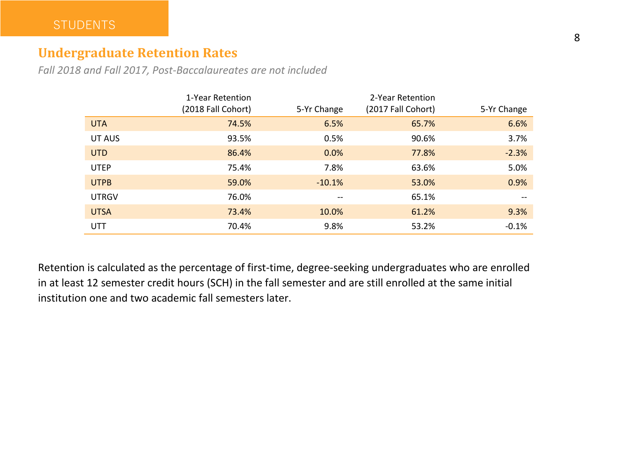#### <span id="page-7-0"></span>**Undergraduate Retention Rates**

*Fall 2018 and Fall 2017, Post-Baccalaureates are not included*

|              | 1-Year Retention<br>(2018 Fall Cohort) | 5-Yr Change | 2-Year Retention<br>(2017 Fall Cohort) | 5-Yr Change |
|--------------|----------------------------------------|-------------|----------------------------------------|-------------|
|              |                                        |             |                                        |             |
| <b>UTA</b>   | 74.5%                                  | 6.5%        | 65.7%                                  | 6.6%        |
| UT AUS       | 93.5%                                  | 0.5%        | 90.6%                                  | 3.7%        |
| <b>UTD</b>   | 86.4%                                  | 0.0%        | 77.8%                                  | $-2.3%$     |
| <b>UTEP</b>  | 75.4%                                  | 7.8%        | 63.6%                                  | 5.0%        |
| <b>UTPB</b>  | 59.0%                                  | $-10.1%$    | 53.0%                                  | 0.9%        |
| <b>UTRGV</b> | 76.0%                                  | $- -$       | 65.1%                                  | $- -$       |
| <b>UTSA</b>  | 73.4%                                  | 10.0%       | 61.2%                                  | 9.3%        |
| UTT          | 70.4%                                  | 9.8%        | 53.2%                                  | $-0.1%$     |

Retention is calculated as the percentage of first-time, degree-seeking undergraduates who are enrolled in at least 12 semester credit hours (SCH) in the fall semester and are still enrolled at the same initial institution one and two academic fall semesters later.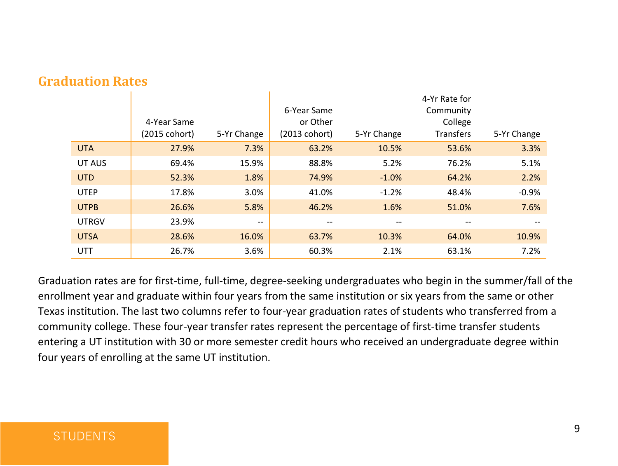|              | 4-Year Same<br>(2015 cohort) | 5-Yr Change       | 6-Year Same<br>or Other<br>(2013 cohort) | 5-Yr Change | 4-Yr Rate for<br>Community<br>College<br><b>Transfers</b> | 5-Yr Change |
|--------------|------------------------------|-------------------|------------------------------------------|-------------|-----------------------------------------------------------|-------------|
| <b>UTA</b>   | 27.9%                        | 7.3%              | 63.2%                                    | 10.5%       | 53.6%                                                     | 3.3%        |
| UT AUS       | 69.4%                        | 15.9%             | 88.8%                                    | 5.2%        | 76.2%                                                     | 5.1%        |
| <b>UTD</b>   | 52.3%                        | 1.8%              | 74.9%                                    | $-1.0%$     | 64.2%                                                     | 2.2%        |
| <b>UTEP</b>  | 17.8%                        | 3.0%              | 41.0%                                    | $-1.2%$     | 48.4%                                                     | $-0.9%$     |
| <b>UTPB</b>  | 26.6%                        | 5.8%              | 46.2%                                    | 1.6%        | 51.0%                                                     | 7.6%        |
| <b>UTRGV</b> | 23.9%                        | $\hspace{0.05cm}$ | $- -$                                    | $- -$       | $- -$                                                     |             |
| <b>UTSA</b>  | 28.6%                        | 16.0%             | 63.7%                                    | 10.3%       | 64.0%                                                     | 10.9%       |
| UTT          | 26.7%                        | 3.6%              | 60.3%                                    | 2.1%        | 63.1%                                                     | 7.2%        |

#### <span id="page-8-0"></span>**Graduation Rates**

Graduation rates are for first-time, full-time, degree-seeking undergraduates who begin in the summer/fall of the enrollment year and graduate within four years from the same institution or six years from the same or other Texas institution. The last two columns refer to four-year graduation rates of students who transferred from a community college. These four-year transfer rates represent the percentage of first-time transfer students entering a UT institution with 30 or more semester credit hours who received an undergraduate degree within four years of enrolling at the same UT institution.

#### **STUDENTS**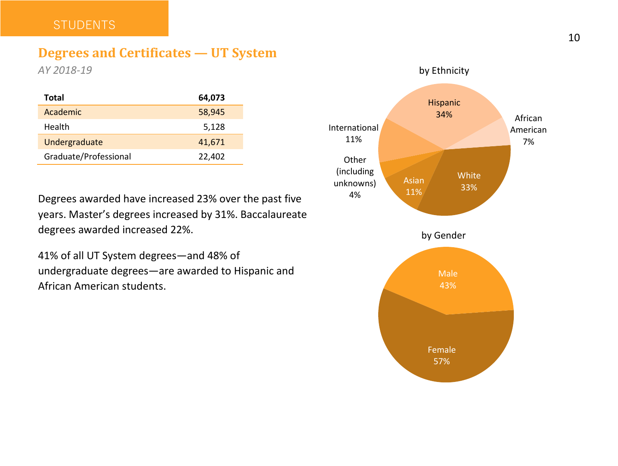#### <span id="page-9-0"></span>**STUDENTS**

#### **Degrees and Certificates — UT System**

*AY 2018-19* 

| Total                 | 64,073 |
|-----------------------|--------|
| Academic              | 58,945 |
| Health                | 5,128  |
| Undergraduate         | 41,671 |
| Graduate/Professional | 22,402 |

Degrees awarded have increased 23% over the past five years. Master's degrees increased by 31%. Baccalaureate degrees awarded increased 22%.

41% of all UT System degrees—and 48% of undergraduate degrees—are awarded to Hispanic and African American students.

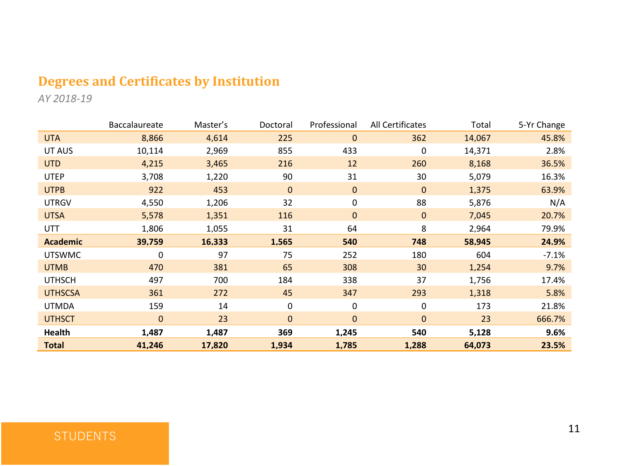#### <span id="page-10-0"></span>**Degrees and Certificates by Institution**

*AY 2018-19*

|                 | Baccalaureate | Master's | Doctoral     | Professional | <b>All Certificates</b> | Total  | 5-Yr Change |
|-----------------|---------------|----------|--------------|--------------|-------------------------|--------|-------------|
| <b>UTA</b>      | 8,866         | 4,614    | 225          | 0            | 362                     | 14,067 | 45.8%       |
| UT AUS          | 10,114        | 2,969    | 855          | 433          | 0                       | 14,371 | 2.8%        |
| <b>UTD</b>      | 4,215         | 3,465    | 216          | 12           | 260                     | 8,168  | 36.5%       |
| <b>UTEP</b>     | 3,708         | 1,220    | 90           | 31           | 30                      | 5,079  | 16.3%       |
| <b>UTPB</b>     | 922           | 453      | $\mathbf{0}$ | $\mathbf 0$  | $\mathbf 0$             | 1,375  | 63.9%       |
| <b>UTRGV</b>    | 4,550         | 1,206    | 32           | 0            | 88                      | 5,876  | N/A         |
| <b>UTSA</b>     | 5,578         | 1,351    | 116          | $\mathbf 0$  | $\mathbf 0$             | 7,045  | 20.7%       |
| UTT             | 1,806         | 1,055    | 31           | 64           | 8                       | 2,964  | 79.9%       |
| <b>Academic</b> | 39.759        | 16.333   | 1.565        | 540          | 748                     | 58.945 | 24.9%       |
| <b>UTSWMC</b>   | 0             | 97       | 75           | 252          | 180                     | 604    | $-7.1%$     |
| <b>UTMB</b>     | 470           | 381      | 65           | 308          | 30                      | 1,254  | 9.7%        |
| <b>UTHSCH</b>   | 497           | 700      | 184          | 338          | 37                      | 1,756  | 17.4%       |
| <b>UTHSCSA</b>  | 361           | 272      | 45           | 347          | 293                     | 1,318  | 5.8%        |
| <b>UTMDA</b>    | 159           | 14       | $\Omega$     | 0            | 0                       | 173    | 21.8%       |
| <b>UTHSCT</b>   | $\mathbf{0}$  | 23       | $\Omega$     | $\mathbf{0}$ | 0                       | 23     | 666.7%      |
| Health          | 1,487         | 1,487    | 369          | 1,245        | 540                     | 5,128  | 9.6%        |
| <b>Total</b>    | 41,246        | 17,820   | 1,934        | 1,785        | 1,288                   | 64,073 | 23.5%       |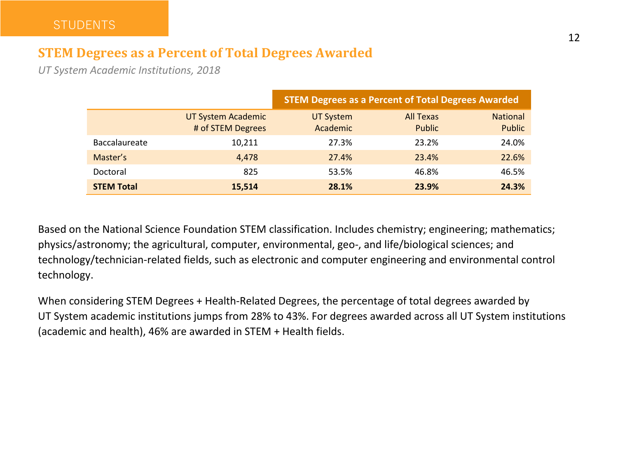#### <span id="page-11-0"></span>**STEM Degrees as a Percent of Total Degrees Awarded**

*UT System Academic Institutions, 2018* 

|                      |                                         | <b>STEM Degrees as a Percent of Total Degrees Awarded</b> |                            |                           |  |  |  |
|----------------------|-----------------------------------------|-----------------------------------------------------------|----------------------------|---------------------------|--|--|--|
|                      | UT System Academic<br># of STEM Degrees | UT System<br>Academic                                     | <b>All Texas</b><br>Public | <b>National</b><br>Public |  |  |  |
| <b>Baccalaureate</b> | 10.211                                  | 27.3%                                                     | 23.2%                      | 24.0%                     |  |  |  |
| Master's             | 4.478                                   | 27.4%                                                     | 23.4%                      | 22.6%                     |  |  |  |
| Doctoral             | 825                                     | 53.5%                                                     | 46.8%                      | 46.5%                     |  |  |  |
| <b>STEM Total</b>    | 15.514                                  | 28.1%                                                     | 23.9%                      | 24.3%                     |  |  |  |

Based on the National Science Foundation STEM classification. Includes chemistry; engineering; mathematics; physics/astronomy; the agricultural, computer, environmental, geo-, and life/biological sciences; and technology/technician-related fields, such as electronic and computer engineering and environmental control technology.

When considering STEM Degrees + Health-Related Degrees, the percentage of total degrees awarded by UT System academic institutions jumps from 28% to 43%. For degrees awarded across all UT System institutions (academic and health), 46% are awarded in STEM + Health fields.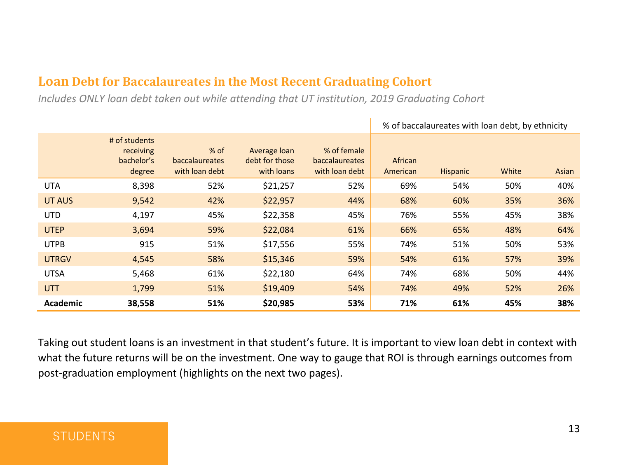#### <span id="page-12-0"></span>**Loan Debt for Baccalaureates in the Most Recent Graduating Cohort**

*Includes ONLY loan debt taken out while attending that UT institution, 2019 Graduating Cohort*

|                 |                                                    |                                            |                                              |                                                        | % of baccalaureates with loan debt, by ethnicity |                 |       |       |
|-----------------|----------------------------------------------------|--------------------------------------------|----------------------------------------------|--------------------------------------------------------|--------------------------------------------------|-----------------|-------|-------|
|                 | # of students<br>receiving<br>bachelor's<br>degree | $%$ of<br>baccalaureates<br>with loan debt | Average loan<br>debt for those<br>with loans | % of female<br><b>baccalaureates</b><br>with loan debt | African<br>American                              | <b>Hispanic</b> | White | Asian |
| <b>UTA</b>      | 8,398                                              | 52%                                        | \$21,257                                     | 52%                                                    | 69%                                              | 54%             | 50%   | 40%   |
| UT AUS          | 9,542                                              | 42%                                        | \$22,957                                     | 44%                                                    | 68%                                              | 60%             | 35%   | 36%   |
| <b>UTD</b>      | 4,197                                              | 45%                                        | \$22,358                                     | 45%                                                    | 76%                                              | 55%             | 45%   | 38%   |
| <b>UTEP</b>     | 3,694                                              | 59%                                        | \$22,084                                     | 61%                                                    | 66%                                              | 65%             | 48%   | 64%   |
| <b>UTPB</b>     | 915                                                | 51%                                        | \$17,556                                     | 55%                                                    | 74%                                              | 51%             | 50%   | 53%   |
| <b>UTRGV</b>    | 4,545                                              | 58%                                        | \$15,346                                     | 59%                                                    | 54%                                              | 61%             | 57%   | 39%   |
| <b>UTSA</b>     | 5,468                                              | 61%                                        | \$22,180                                     | 64%                                                    | 74%                                              | 68%             | 50%   | 44%   |
| <b>UTT</b>      | 1,799                                              | 51%                                        | \$19,409                                     | 54%                                                    | 74%                                              | 49%             | 52%   | 26%   |
| <b>Academic</b> | 38,558                                             | 51%                                        | \$20,985                                     | 53%                                                    | 71%                                              | 61%             | 45%   | 38%   |

Taking out student loans is an investment in that student's future. It is important to view loan debt in context with what the future returns will be on the investment. One way to gauge that ROI is through earnings outcomes from post-graduation employment (highlights on the next two pages).

#### **STUDENTS**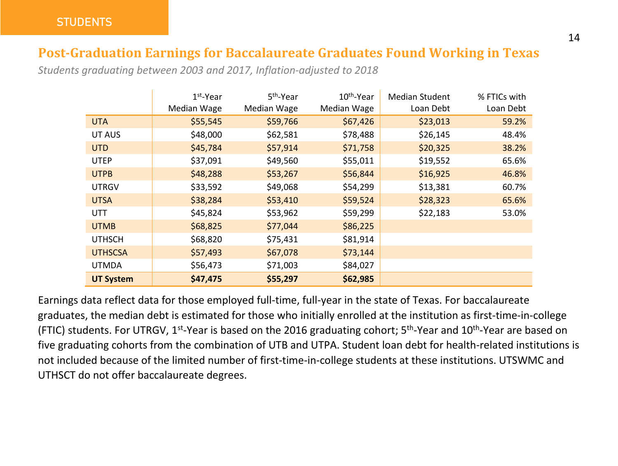#### <span id="page-13-0"></span>**Post-Graduation Earnings for Baccalaureate Graduates Found Working in Texas**

*Students graduating between 2003 and 2017, Inflation-adjusted to 2018*

|                  | $1st$ -Year | 5 <sup>th</sup> -Year | 10 <sup>th</sup> -Year | <b>Median Student</b> | % FTICs with |
|------------------|-------------|-----------------------|------------------------|-----------------------|--------------|
|                  | Median Wage | Median Wage           | Median Wage            | Loan Debt             | Loan Debt    |
| <b>UTA</b>       | \$55,545    | \$59,766              | \$67,426               | \$23,013              | 59.2%        |
| UT AUS           | \$48,000    | \$62,581              | \$78,488               | \$26,145              | 48.4%        |
| <b>UTD</b>       | \$45,784    | \$57,914              | \$71,758               | \$20,325              | 38.2%        |
| <b>UTEP</b>      | \$37,091    | \$49,560              | \$55,011               | \$19,552              | 65.6%        |
| <b>UTPB</b>      | \$48,288    | \$53,267              | \$56,844               | \$16,925              | 46.8%        |
| <b>UTRGV</b>     | \$33,592    | \$49,068              | \$54,299               | \$13,381              | 60.7%        |
| <b>UTSA</b>      | \$38,284    | \$53,410              | \$59,524               | \$28,323              | 65.6%        |
| <b>UTT</b>       | \$45,824    | \$53,962              | \$59,299               | \$22,183              | 53.0%        |
| <b>UTMB</b>      | \$68,825    | \$77,044              | \$86,225               |                       |              |
| <b>UTHSCH</b>    | \$68,820    | \$75,431              | \$81,914               |                       |              |
| <b>UTHSCSA</b>   | \$57,493    | \$67,078              | \$73,144               |                       |              |
| <b>UTMDA</b>     | \$56,473    | \$71,003              | \$84,027               |                       |              |
| <b>UT System</b> | \$47,475    | \$55,297              | \$62,985               |                       |              |

Earnings data reflect data for those employed full-time, full-year in the state of Texas. For baccalaureate graduates, the median debt is estimated for those who initially enrolled at the institution as first-time-in-college (FTIC) students. For UTRGV, 1<sup>st</sup>-Year is based on the 2016 graduating cohort; 5<sup>th</sup>-Year and 10<sup>th</sup>-Year are based on five graduating cohorts from the combination of UTB and UTPA. Student loan debt for health-related institutions is not included because of the limited number of first-time-in-college students at these institutions. UTSWMC and UTHSCT do not offer baccalaureate degrees.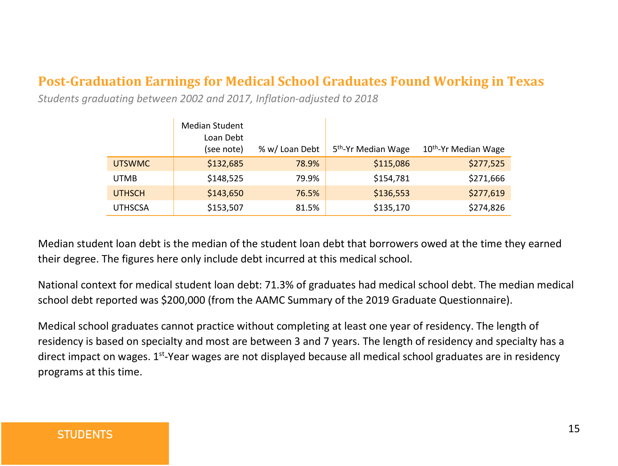#### <span id="page-14-0"></span>**Post-Graduation Earnings for Medical School Graduates Found Working in Texas**

*Students graduating between 2002 and 2017, Inflation-adjusted to 2018*

|                | <b>Median Student</b> |                |                                 |                     |
|----------------|-----------------------|----------------|---------------------------------|---------------------|
|                | Loan Debt             |                |                                 |                     |
|                | (see note)            | % w/ Loan Debt | 5 <sup>th</sup> -Yr Median Wage | 10th-Yr Median Wage |
| <b>UTSWMC</b>  | \$132,685             | 78.9%          | \$115,086                       | \$277,525           |
| <b>UTMB</b>    | \$148,525             | 79.9%          | \$154,781                       | \$271,666           |
| <b>UTHSCH</b>  | \$143,650             | 76.5%          | \$136,553                       | \$277,619           |
| <b>UTHSCSA</b> | \$153,507             | 81.5%          | \$135,170                       | \$274,826           |

Median student loan debt is the median of the student loan debt that borrowers owed at the time they earned their degree. The figures here only include debt incurred at this medical school.

National context for medical student loan debt: 71.3% of graduates had medical school debt. The median medical school debt reported was \$200,000 (from the AAMC Summary of the 2019 Graduate Questionnaire).

Medical school graduates cannot practice without completing at least one year of residency. The length of residency is based on specialty and most are between 3 and 7 years. The length of residency and specialty has a direct impact on wages. 1st-Year wages are not displayed because all medical school graduates are in residency programs at this time.

#### **STUDENTS**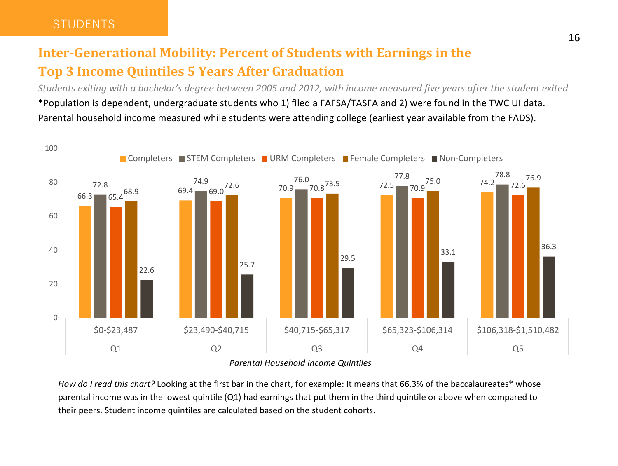#### <span id="page-15-0"></span>**Inter-Generational Mobility: Percent of Students with Earnings in the Top 3 Income Quintiles 5 Years After Graduation**

*Students exiting with a bachelor's degree between 2005 and 2012, with income measured five years after the student exited* \*Population is dependent, undergraduate students who 1) filed a FAFSA/TASFA and 2) were found in the TWC UI data. Parental household income measured while students were attending college (earliest year available from the FADS).



*How do I read this chart?* Looking at the first bar in the chart, for example: It means that 66.3% of the baccalaureates\* whose parental income was in the lowest quintile (Q1) had earnings that put them in the third quintile or above when compared to their peers. Student income quintiles are calculated based on the student cohorts.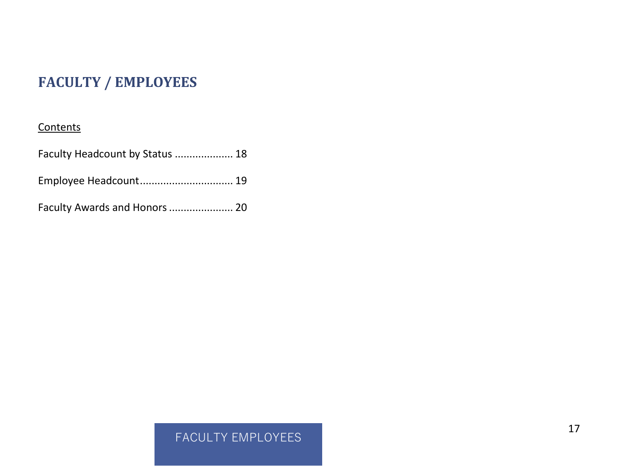### <span id="page-16-0"></span>**FACULTY / EMPLOYEES**

#### **Contents**

| Faculty Headcount by Status  18 |  |
|---------------------------------|--|
| Employee Headcount 19           |  |
| Faculty Awards and Honors  20   |  |

#### FACULTY EMPLOYEES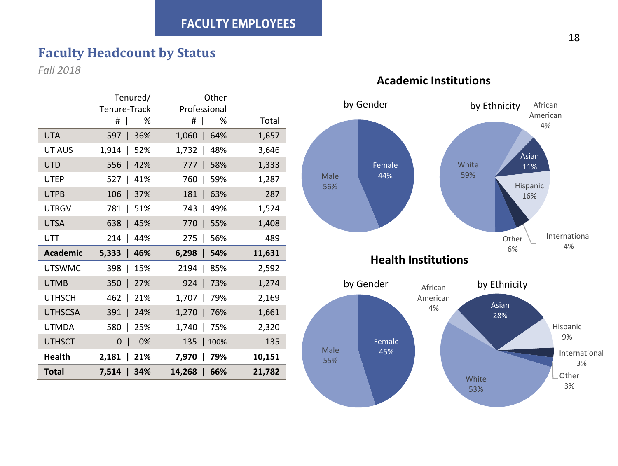#### <span id="page-17-0"></span>**Faculty Headcount by Status**

*Fall 2018*

|                 | Tenured/                   | Other                                       |        |
|-----------------|----------------------------|---------------------------------------------|--------|
|                 | Tenure-Track               | Professional                                |        |
|                 | #<br>%                     | #<br>%<br>$\overline{\phantom{a}}$          | Total  |
| <b>UTA</b>      | 597<br>36%<br>$\mathbf{I}$ | 1,060<br>64%<br>$\color{red} \blacklozenge$ | 1,657  |
| UT AUS          | 1,914<br>52%<br>I          | 1,732<br>48%                                | 3,646  |
| <b>UTD</b>      | 42%<br>556<br>♦            | 58%<br>777                                  | 1,333  |
| <b>UTEP</b>     | 527<br>41%<br>ı            | 760<br>59%                                  | 1,287  |
| <b>UTPB</b>     | 106<br>37%<br>J.           | 63%<br>181<br>$\color{red} \blacklozenge$   | 287    |
| <b>UTRGV</b>    | 781<br>51%<br>I            | 743<br>49%<br>$\mathbf{I}$                  | 1,524  |
| <b>UTSA</b>     | 638<br>45%<br>$\mathbf{I}$ | 770<br>55%<br>$\perp$                       | 1,408  |
| UTT             | 214<br>44%<br>$\mathbf{I}$ | 275<br>56%<br>$\overline{\phantom{a}}$      | 489    |
| <b>Academic</b> | $5,333$  <br>46%           | $6,298$  <br>54%                            | 11,631 |
| <b>UTSWMC</b>   | 398<br>15%<br>$\mathbf{I}$ | 2194<br>85%<br>$\mathbf{I}$                 | 2,592  |
| <b>UTMB</b>     | 350<br>27%<br>J.           | 924<br>73%<br>-1                            | 1,274  |
| <b>UTHSCH</b>   | 462<br>21%                 | 1,707<br>79%                                | 2,169  |
| <b>UTHSCSA</b>  | 391<br>24%<br>ı            | 1,270<br>76%                                | 1,661  |
| <b>UTMDA</b>    | 580<br>25%                 | 1,740<br>75%                                | 2,320  |
| <b>UTHSCT</b>   | 0%<br>0                    | 135<br>100%                                 | 135    |
| Health          | 2,181<br>21%               | 79%<br>7,970                                | 10,151 |
| Total           | 7,514 l<br>34%             | 14,268<br>66%<br>-1                         | 21,782 |



#### **Academic Institutions**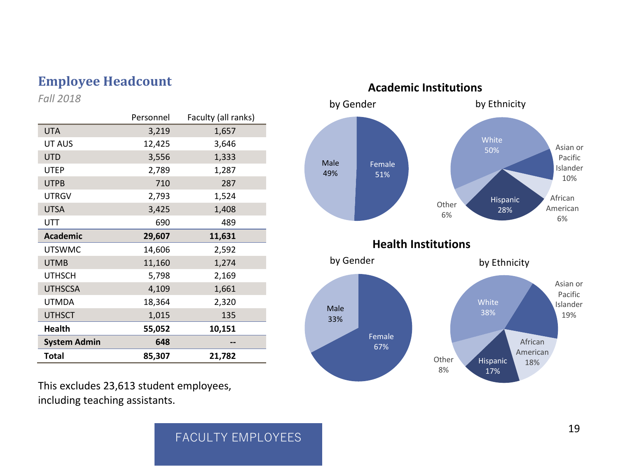*Fall 2018* 

|                     | Personnel | Faculty (all ranks) |
|---------------------|-----------|---------------------|
| <b>UTA</b>          | 3,219     | 1,657               |
| UT AUS              | 12,425    | 3,646               |
| <b>UTD</b>          | 3,556     | 1,333               |
| <b>UTEP</b>         | 2,789     | 1,287               |
| <b>UTPB</b>         | 710       | 287                 |
| <b>UTRGV</b>        | 2,793     | 1,524               |
| <b>UTSA</b>         | 3,425     | 1,408               |
| UTT                 | 690       | 489                 |
| <b>Academic</b>     | 29,607    | 11,631              |
| <b>UTSWMC</b>       | 14,606    | 2,592               |
| <b>UTMB</b>         | 11,160    | 1,274               |
| <b>UTHSCH</b>       | 5,798     | 2,169               |
| <b>UTHSCSA</b>      | 4,109     | 1,661               |
| <b>UTMDA</b>        | 18,364    | 2,320               |
| <b>UTHSCT</b>       | 1,015     | 135                 |
| <b>Health</b>       | 55,052    | 10,151              |
| <b>System Admin</b> | 648       |                     |
| Total               | 85,307    | 21,782              |

This excludes 23,613 student employees, including teaching assistants.

<span id="page-18-0"></span>

#### FACULTY EMPLOYEES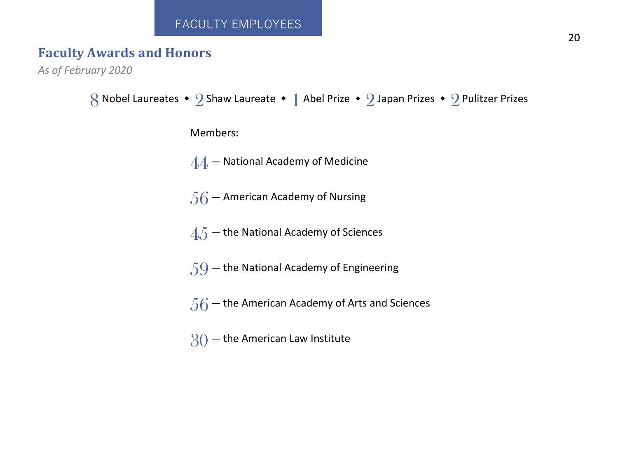#### FACULTY EMPLOYEES

#### <span id="page-19-0"></span>**Faculty Awards and Honors**

*As of February 2020*

```
8 Nobel Laureates • 2 Shaw Laureate • 1 Abel Prize • 2 Japan Prizes • 2 Pulitzer Prizes
       Members: 
       44 - National Academy of Medicine
       56 – American Academy of Nursing
       4.5 – the National Academy of Sciences
       59 – the National Academy of Engineering
       56 – the American Academy of Arts and Sciences
       30 - the American Law Institute
```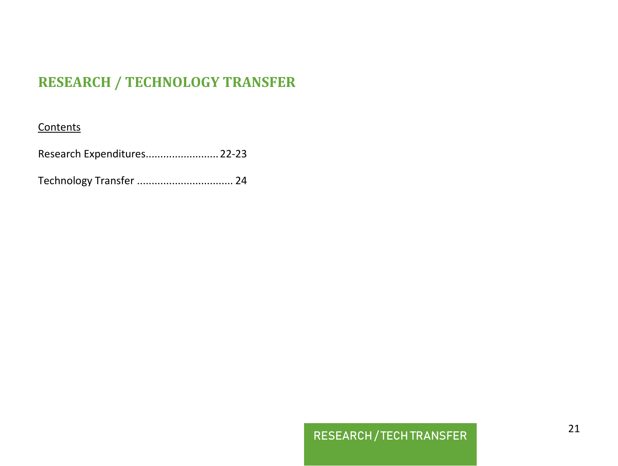#### <span id="page-20-0"></span>**RESEARCH / TECHNOLOGY TRANSFER**

#### **Contents**

[Research Expenditures.........................22-23](#page-21-0)

Technology Transfer [................................. 24](#page-23-0) 

#### RESEARCH / TECH TRANSFER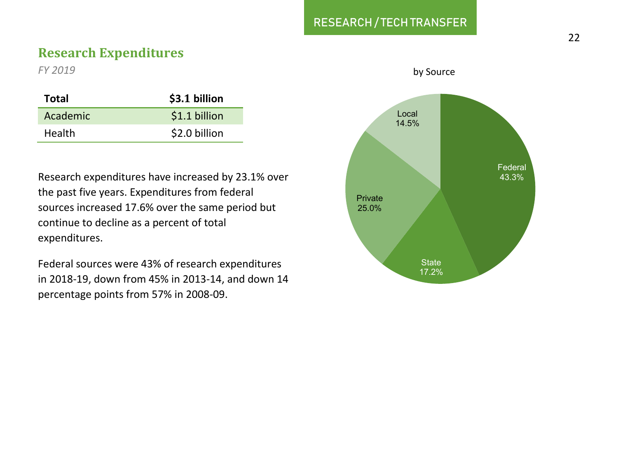#### RESEARCH / TECH TRANSFER

#### <span id="page-21-0"></span>**Research Expenditures**

*FY 2019* 

| Total    | \$3.1 billion |
|----------|---------------|
| Academic | \$1.1 billion |
| Health   | \$2.0 billion |

Research expenditures have increased by 23.1% over the past five years. Expenditures from federal sources increased 17.6% over the same period but continue to decline as a percent of total expenditures.

Federal sources were 43% of research expenditures in 2018-19, down from 45% in 2013-14, and down 14 percentage points from 57% in 2008-09.



#### by Source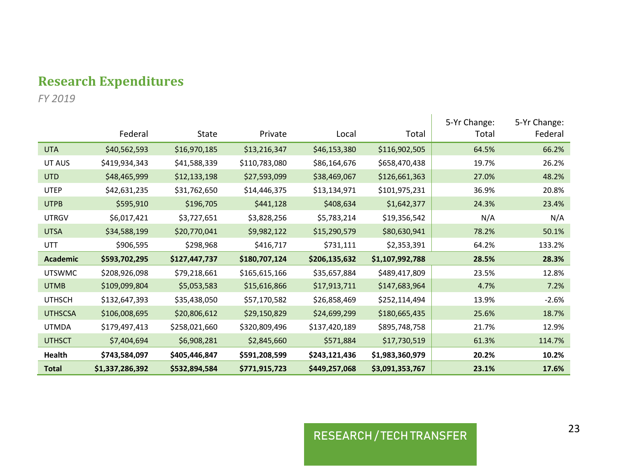#### **Research Expenditures**

*FY 2019* 

|                 | Federal         | State         | Private       | Local         | Total           | 5-Yr Change:<br>Total | 5-Yr Change:<br>Federal |
|-----------------|-----------------|---------------|---------------|---------------|-----------------|-----------------------|-------------------------|
| <b>UTA</b>      | \$40,562,593    | \$16,970,185  | \$13,216,347  | \$46,153,380  | \$116,902,505   | 64.5%                 | 66.2%                   |
| UT AUS          | \$419,934,343   | \$41,588,339  | \$110,783,080 | \$86,164,676  | \$658,470,438   | 19.7%                 | 26.2%                   |
| <b>UTD</b>      | \$48,465,999    | \$12,133,198  | \$27,593,099  | \$38,469,067  | \$126,661,363   | 27.0%                 | 48.2%                   |
| <b>UTEP</b>     | \$42,631,235    | \$31,762,650  | \$14,446,375  | \$13,134,971  | \$101,975,231   | 36.9%                 | 20.8%                   |
| <b>UTPB</b>     | \$595,910       | \$196,705     | \$441,128     | \$408,634     | \$1,642,377     | 24.3%                 | 23.4%                   |
| <b>UTRGV</b>    | \$6,017,421     | \$3,727,651   | \$3,828,256   | \$5,783,214   | \$19,356,542    | N/A                   | N/A                     |
| <b>UTSA</b>     | \$34,588,199    | \$20,770,041  | \$9,982,122   | \$15,290,579  | \$80,630,941    | 78.2%                 | 50.1%                   |
| UTT             | \$906,595       | \$298,968     | \$416,717     | \$731,111     | \$2,353,391     | 64.2%                 | 133.2%                  |
| <b>Academic</b> | \$593.702.295   | \$127.447.737 | \$180.707.124 | \$206.135.632 | \$1.107.992.788 | 28.5%                 | 28.3%                   |
| <b>UTSWMC</b>   | \$208,926,098   | \$79,218,661  | \$165,615,166 | \$35,657,884  | \$489,417,809   | 23.5%                 | 12.8%                   |
| <b>UTMB</b>     | \$109,099,804   | \$5,053,583   | \$15,616,866  | \$17,913,711  | \$147,683,964   | 4.7%                  | 7.2%                    |
| <b>UTHSCH</b>   | \$132,647,393   | \$35,438,050  | \$57,170,582  | \$26,858,469  | \$252,114,494   | 13.9%                 | $-2.6%$                 |
| <b>UTHSCSA</b>  | \$106,008,695   | \$20,806,612  | \$29,150,829  | \$24,699,299  | \$180,665,435   | 25.6%                 | 18.7%                   |
| <b>UTMDA</b>    | \$179,497,413   | \$258,021,660 | \$320,809,496 | \$137,420,189 | \$895,748,758   | 21.7%                 | 12.9%                   |
| <b>UTHSCT</b>   | \$7,404,694     | \$6,908,281   | \$2,845,660   | \$571,884     | \$17,730,519    | 61.3%                 | 114.7%                  |
| Health          | \$743,584,097   | \$405,446.847 | \$591,208,599 | \$243,121,436 | \$1,983,360,979 | 20.2%                 | 10.2%                   |
| <b>Total</b>    | \$1.337.286.392 | \$532.894.584 | \$771.915.723 | \$449.257.068 | \$3.091.353.767 | 23.1%                 | 17.6%                   |

### RESEARCH / TECH TRANSFER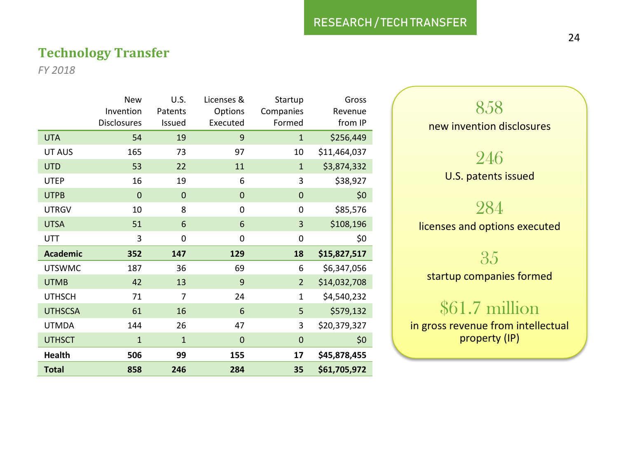#### <span id="page-23-0"></span>**Technology Transfer**

*FY 2018* 

|                 | <b>New</b>         | U.S.           | Licenses & | Startup        | Gross        |
|-----------------|--------------------|----------------|------------|----------------|--------------|
|                 | Invention          | Patents        | Options    | Companies      | Revenue      |
|                 | <b>Disclosures</b> | Issued         | Executed   | Formed         | from IP      |
| <b>UTA</b>      | 54                 | 19             | 9          | $\mathbf{1}$   | \$256,449    |
| UT AUS          | 165                | 73             | 97         | 10             | \$11,464,037 |
| <b>UTD</b>      | 53                 | 22             | 11         | $\mathbf{1}$   | \$3,874,332  |
| <b>UTEP</b>     | 16                 | 19             | 6          | 3              | \$38,927     |
| <b>UTPB</b>     | 0                  | 0              | 0          | $\mathbf 0$    | \$0          |
| <b>UTRGV</b>    | 10                 | 8              | 0          | 0              | \$85,576     |
| <b>UTSA</b>     | 51                 | 6              | 6          | 3              | \$108,196    |
| UTT             | 3                  | 0              | 0          | 0              | \$0          |
| <b>Academic</b> | 352                | 147            | 129        | 18             | \$15,827,517 |
| <b>UTSWMC</b>   | 187                | 36             | 69         | 6              | \$6,347,056  |
| <b>UTMB</b>     | 42                 | 13             | 9          | $\overline{2}$ | \$14,032,708 |
| <b>UTHSCH</b>   | 71                 | 7              | 24         | $\mathbf 1$    | \$4,540,232  |
| <b>UTHSCSA</b>  | 61                 | 16             | 6          | 5              | \$579,132    |
| <b>UTMDA</b>    | 144                | 26             | 47         | 3              | \$20,379,327 |
| <b>UTHSCT</b>   | $\overline{1}$     | $\overline{1}$ | 0          | $\mathbf 0$    | \$0          |
| Health          | 506                | 99             | 155        | 17             | \$45,878,455 |
| <b>Total</b>    | 858                | 246            | 284        | 35             | \$61,705,972 |

858 new invention disclosures 246 U.S. patents issued 284 licenses and options executed 35

startup companies formed

### \$61.7 million

in gross revenue from intellectual property (IP)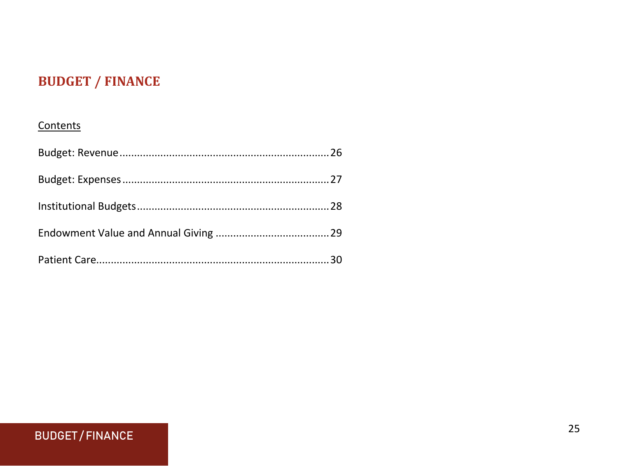### <span id="page-24-0"></span>**BUDGET / FINANCE**

#### Contents

#### **BUDGET/FINANCE**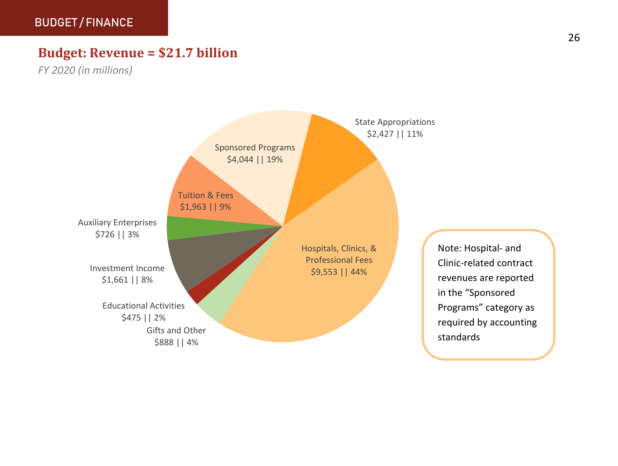#### <span id="page-25-0"></span>**Budget: Revenue = \$21.7 billion**

*FY 2020 (in millions)*



Note: Hospital- and Clinic-related contract revenues are reported in the "Sponsored Programs" category as required by accounting standards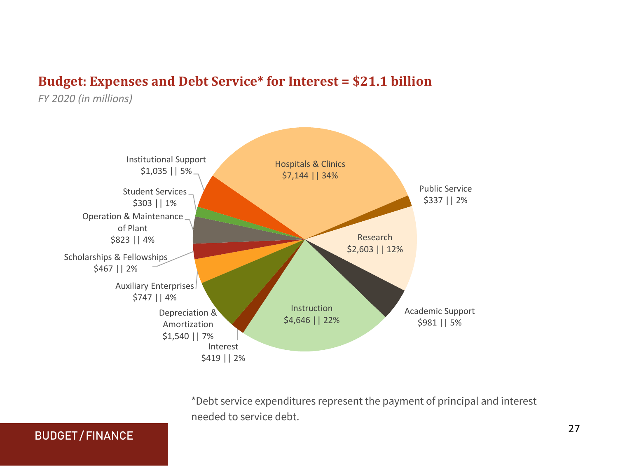#### <span id="page-26-0"></span>**Budget: Expenses and Debt Service\* for Interest = \$21.1 billion**

*FY 2020 (in millions)*



\*Debt service expenditures represent the payment of principal and interest needed to service debt.

#### BUDGET / FINANCE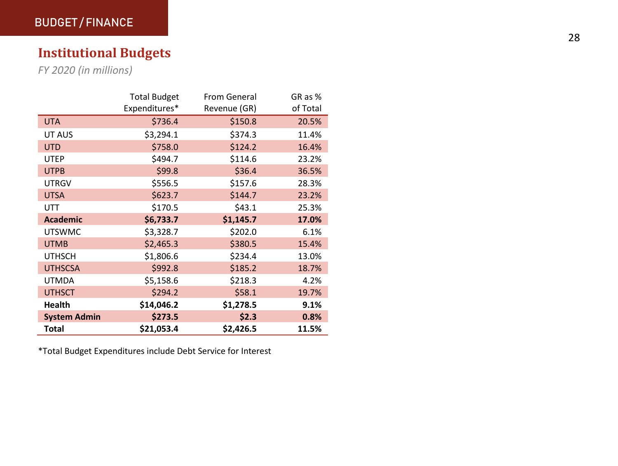#### <span id="page-27-0"></span>**Institutional Budgets**

*FY 2020 (in millions)*

|                     | <b>Total Budget</b> | From General | GR as %  |
|---------------------|---------------------|--------------|----------|
|                     | Expenditures*       | Revenue (GR) | of Total |
| <b>UTA</b>          | \$736.4             | \$150.8      | 20.5%    |
| UT AUS              | \$3,294.1           | \$374.3      | 11.4%    |
| <b>UTD</b>          | \$758.0             | \$124.2      | 16.4%    |
| <b>UTEP</b>         | \$494.7             | \$114.6      | 23.2%    |
| <b>UTPB</b>         | \$99.8              | \$36.4       | 36.5%    |
| <b>UTRGV</b>        | \$556.5             | \$157.6      | 28.3%    |
| <b>UTSA</b>         | \$623.7             | \$144.7      | 23.2%    |
| UTT                 | \$170.5             | \$43.1       | 25.3%    |
| <b>Academic</b>     | \$6,733.7           | \$1,145.7    | 17.0%    |
| <b>UTSWMC</b>       | \$3,328.7           | \$202.0      | 6.1%     |
| <b>UTMB</b>         | \$2,465.3           | \$380.5      | 15.4%    |
| <b>UTHSCH</b>       | \$1,806.6           | \$234.4      | 13.0%    |
| <b>UTHSCSA</b>      | \$992.8             | \$185.2      | 18.7%    |
| <b>UTMDA</b>        | \$5,158.6           | \$218.3      | 4.2%     |
| <b>UTHSCT</b>       | \$294.2             | \$58.1       | 19.7%    |
| <b>Health</b>       | \$14,046.2          | \$1,278.5    | 9.1%     |
| <b>System Admin</b> | \$273.5             | \$2.3        | 0.8%     |
| Total               | \$21,053.4          | \$2,426.5    | 11.5%    |

\*Total Budget Expenditures include Debt Service for Interest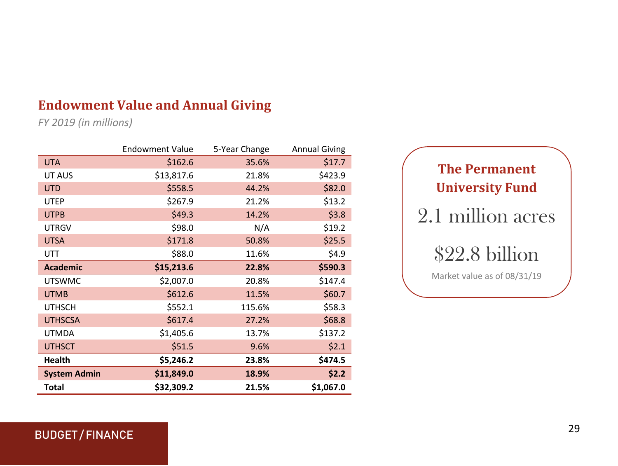#### <span id="page-28-0"></span>**Endowment Value and Annual Giving**

*FY 2019 (in millions)*

|                     | <b>Endowment Value</b> | 5-Year Change | <b>Annual Giving</b> |
|---------------------|------------------------|---------------|----------------------|
| <b>UTA</b>          | \$162.6                | 35.6%         | \$17.7               |
| UT AUS              | \$13,817.6             | 21.8%         | \$423.9              |
| <b>UTD</b>          | \$558.5                | 44.2%         | \$82.0               |
| <b>UTEP</b>         | \$267.9                | 21.2%         | \$13.2               |
| <b>UTPB</b>         | \$49.3                 | 14.2%         | \$3.8                |
| <b>UTRGV</b>        | \$98.0                 | N/A           | \$19.2               |
| <b>UTSA</b>         | \$171.8                | 50.8%         | \$25.5               |
| UTT                 | \$88.0                 | 11.6%         | \$4.9                |
| <b>Academic</b>     | \$15,213.6             | 22.8%         | \$590.3              |
| <b>UTSWMC</b>       | \$2,007.0              | 20.8%         | \$147.4              |
| <b>UTMB</b>         | \$612.6                | 11.5%         | \$60.7               |
| <b>UTHSCH</b>       | \$552.1                | 115.6%        | \$58.3               |
| <b>UTHSCSA</b>      | \$617.4                | 27.2%         | \$68.8               |
| <b>UTMDA</b>        | \$1,405.6              | 13.7%         | \$137.2              |
| <b>UTHSCT</b>       | \$51.5                 | 9.6%          | \$2.1                |
| <b>Health</b>       | \$5,246.2              | 23.8%         | \$474.5              |
| <b>System Admin</b> | \$11,849.0             | 18.9%         | \$2.2                |
| Total               | \$32,309.2             | 21.5%         | \$1,067.0            |



#### BUDGET / FINANCE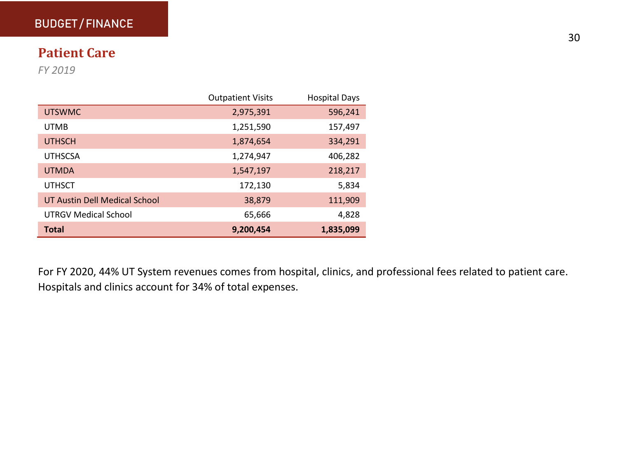#### <span id="page-29-0"></span>BUDGET / FINANCE

#### **Patient Care**

*FY 2019* 

|                               | <b>Outpatient Visits</b> | <b>Hospital Days</b> |
|-------------------------------|--------------------------|----------------------|
| <b>UTSWMC</b>                 | 2,975,391                | 596,241              |
| <b>UTMB</b>                   | 1,251,590                | 157,497              |
| <b>UTHSCH</b>                 | 1,874,654                | 334,291              |
| <b>UTHSCSA</b>                | 1,274,947                | 406,282              |
| <b>UTMDA</b>                  | 1,547,197                | 218,217              |
| <b>UTHSCT</b>                 | 172,130                  | 5,834                |
| UT Austin Dell Medical School | 38,879                   | 111,909              |
| <b>UTRGV Medical School</b>   | 65,666                   | 4,828                |
| Total                         | 9,200,454                | 1,835,099            |

For FY 2020, 44% UT System revenues comes from hospital, clinics, and professional fees related to patient care. Hospitals and clinics account for 34% of total expenses.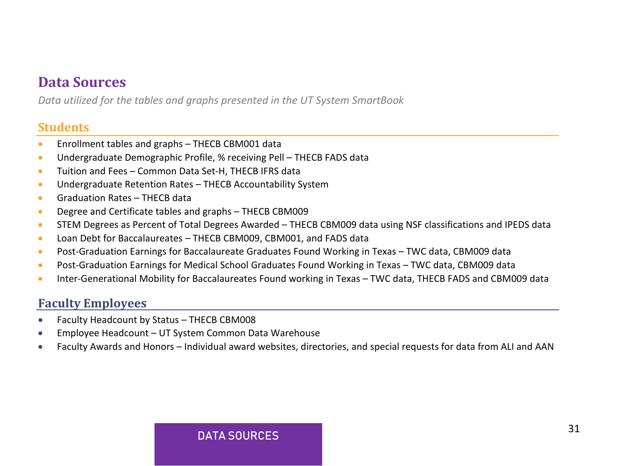#### <span id="page-30-0"></span>**Data Sources**

*Data utilized for the tables and graphs presented in the UT System SmartBook*

#### **Students**

- Enrollment tables and graphs THECB CBM001 data
- Undergraduate Demographic Profile, % receiving Pell THECB FADS data
- Tuition and Fees Common Data Set-H, THECB IFRS data
- Undergraduate Retention Rates THECB Accountability System
- Graduation Rates THECB data
- Degree and Certificate tables and graphs THECB CBM009
- STEM Degrees as Percent of Total Degrees Awarded THECB CBM009 data using NSF classifications and IPEDS data
- Loan Debt for Baccalaureates THECB CBM009, CBM001, and FADS data
- Post-Graduation Earnings for Baccalaureate Graduates Found Working in Texas TWC data, CBM009 data
- Post-Graduation Earnings for Medical School Graduates Found Working in Texas TWC data, CBM009 data
- Inter-Generational Mobility for Baccalaureates Found working in Texas TWC data, THECB FADS and CBM009 data

#### **Faculty Employees**

- Faculty Headcount by Status THECB CBM008
- Employee Headcount UT System Common Data Warehouse
- Faculty Awards and Honors Individual award websites, directories, and special requests for data from ALI and AAN

#### DATA SOURCES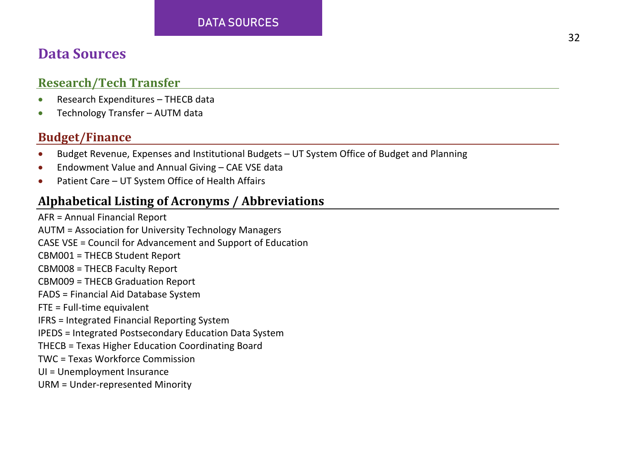#### DATA SOURCES

#### **Data Sources**

#### **Research/Tech Transfer**

- Research Expenditures THECB data
- Technology Transfer AUTM data

#### **Budget/Finance**

- Budget Revenue, Expenses and Institutional Budgets UT System Office of Budget and Planning
- Endowment Value and Annual Giving CAE VSE data
- Patient Care UT System Office of Health Affairs

#### **Alphabetical Listing of Acronyms / Abbreviations**

AFR = Annual Financial Report AUTM = Association for University Technology Managers CASE VSE = Council for Advancement and Support of Education CBM001 = THECB Student Report CBM008 = THECB Faculty Report CBM009 = THECB Graduation Report FADS = Financial Aid Database System FTE = Full-time equivalent IFRS = Integrated Financial Reporting System IPEDS = Integrated Postsecondary Education Data System THECB = Texas Higher Education Coordinating Board TWC = Texas Workforce Commission UI = Unemployment Insurance URM = Under-represented Minority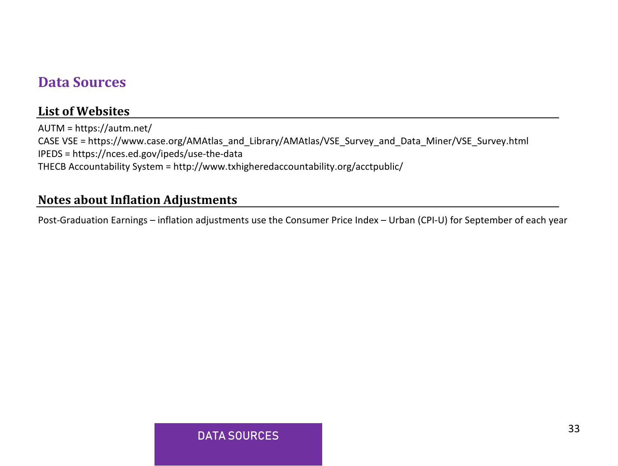#### **Data Sources**

#### **List of Websites**

AUTM =<https://autm.net/> CASE VSE = https://www.case.org/AMAtlas\_and\_Library/AMAtlas/VSE\_Survey\_and\_Data\_Miner/VSE\_Survey.html IPEDS = https://nces.ed.gov/ipeds/use-the-data THECB Accountability System = http://www.txhigheredaccountability.org/acctpublic/

#### **Notes about Inflation Adjustments**

Post-Graduation Earnings – inflation adjustments use the Consumer Price Index – Urban (CPI-U) for September of each year

#### DATA SOURCES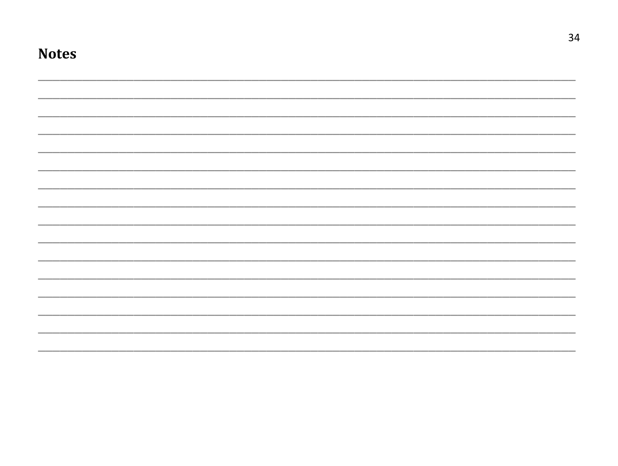| <b>Notes</b> |  |  |  |
|--------------|--|--|--|
|              |  |  |  |
|              |  |  |  |
|              |  |  |  |
|              |  |  |  |
|              |  |  |  |
|              |  |  |  |
|              |  |  |  |
|              |  |  |  |
|              |  |  |  |
|              |  |  |  |
|              |  |  |  |
|              |  |  |  |
|              |  |  |  |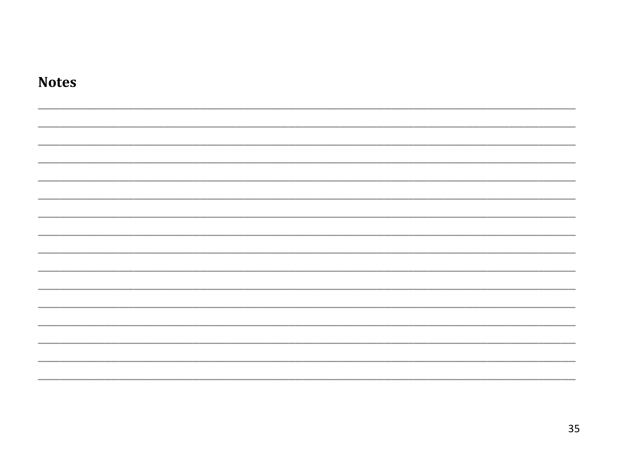| <b>Notes</b> |  |  |
|--------------|--|--|
|              |  |  |
|              |  |  |
|              |  |  |
|              |  |  |
|              |  |  |
|              |  |  |
|              |  |  |
|              |  |  |
|              |  |  |
|              |  |  |
|              |  |  |
|              |  |  |
|              |  |  |
|              |  |  |